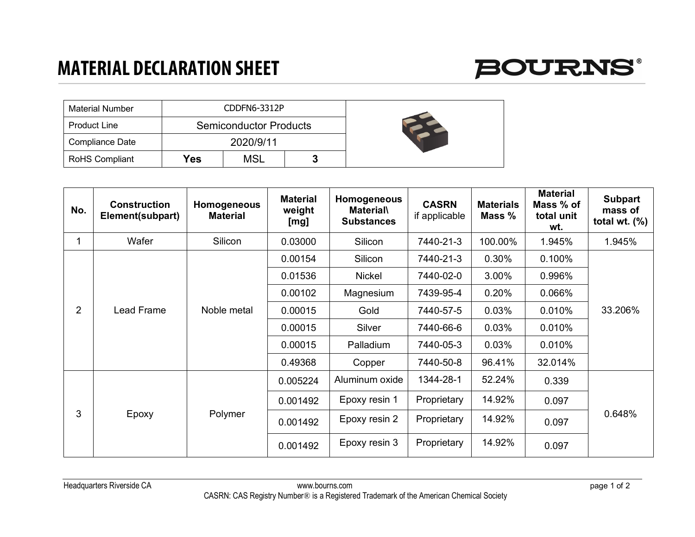## **MATERIAL DECLARATION SHEET**



| <b>Material Number</b> | CDDFN6-3312P |                               |  |
|------------------------|--------------|-------------------------------|--|
| <b>Product Line</b>    |              | <b>Semiconductor Products</b> |  |
| Compliance Date        |              | 2020/9/11                     |  |
| <b>RoHS Compliant</b>  | Yes          | <b>MSL</b>                    |  |

| No.            | <b>Construction</b><br>Element(subpart) | Homogeneous<br><b>Material</b> | <b>Material</b><br>weight<br>[mg] | Homogeneous<br><b>Material</b><br><b>Substances</b> | <b>CASRN</b><br>if applicable | <b>Materials</b><br>Mass % | <b>Material</b><br>Mass % of<br>total unit<br>wt. | <b>Subpart</b><br>mass of<br>total wt. $(\%)$ |
|----------------|-----------------------------------------|--------------------------------|-----------------------------------|-----------------------------------------------------|-------------------------------|----------------------------|---------------------------------------------------|-----------------------------------------------|
| 1              | Wafer                                   | Silicon                        | 0.03000                           | Silicon                                             | 7440-21-3                     | 100.00%                    | 1.945%                                            | 1.945%                                        |
| $\overline{2}$ | Lead Frame                              | Noble metal                    | 0.00154                           | Silicon                                             | 7440-21-3                     | 0.30%                      | 0.100%                                            | 33.206%                                       |
|                |                                         |                                | 0.01536                           | Nickel                                              | 7440-02-0                     | 3.00%                      | 0.996%                                            |                                               |
|                |                                         |                                | 0.00102                           | Magnesium                                           | 7439-95-4                     | 0.20%                      | 0.066%                                            |                                               |
|                |                                         |                                | 0.00015                           | Gold                                                | 7440-57-5                     | 0.03%                      | 0.010%                                            |                                               |
|                |                                         |                                | 0.00015                           | Silver                                              | 7440-66-6                     | 0.03%                      | 0.010%                                            |                                               |
|                |                                         |                                | 0.00015                           | Palladium                                           | 7440-05-3                     | 0.03%                      | 0.010%                                            |                                               |
|                |                                         |                                | 0.49368                           | Copper                                              | 7440-50-8                     | 96.41%                     | 32.014%                                           |                                               |
| 3              | Epoxy                                   | Polymer                        | 0.005224                          | Aluminum oxide                                      | 1344-28-1                     | 52.24%                     | 0.339                                             | 0.648%                                        |
|                |                                         |                                | 0.001492                          | Epoxy resin 1                                       | Proprietary                   | 14.92%                     | 0.097                                             |                                               |
|                |                                         |                                | 0.001492                          | Epoxy resin 2                                       | Proprietary                   | 14.92%                     | 0.097                                             |                                               |
|                |                                         |                                | 0.001492                          | Epoxy resin 3                                       | Proprietary                   | 14.92%                     | 0.097                                             |                                               |